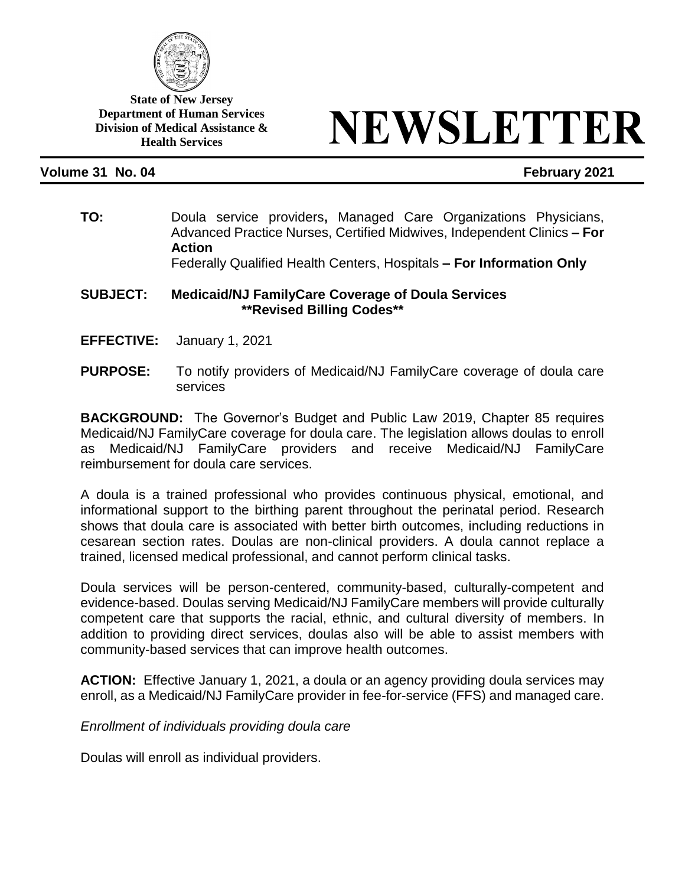

**State of New Jersey Department of Human Services Division of Medical Assistance & Health Services**

# NEWSLETTER

# **Volume 31 No. 04 February 2021**

**TO:** Doula service providers**,** Managed Care Organizations Physicians, Advanced Practice Nurses, Certified Midwives, Independent Clinics **– For Action**

Federally Qualified Health Centers, Hospitals **– For Information Only**

#### **SUBJECT: Medicaid/NJ FamilyCare Coverage of Doula Services \*\*Revised Billing Codes\*\***

- **EFFECTIVE:** January 1, 2021
- **PURPOSE:** To notify providers of Medicaid/NJ FamilyCare coverage of doula care services

**BACKGROUND:** The Governor's Budget and Public Law 2019, Chapter 85 requires Medicaid/NJ FamilyCare coverage for doula care. The legislation allows doulas to enroll as Medicaid/NJ FamilyCare providers and receive Medicaid/NJ FamilyCare reimbursement for doula care services.

A doula is a trained professional who provides continuous physical, emotional, and informational support to the birthing parent throughout the perinatal period. Research shows that doula care is associated with better birth outcomes, including reductions in cesarean section rates. Doulas are non-clinical providers. A doula cannot replace a trained, licensed medical professional, and cannot perform clinical tasks.

Doula services will be person-centered, community-based, culturally-competent and evidence-based. Doulas serving Medicaid/NJ FamilyCare members will provide culturally competent care that supports the racial, ethnic, and cultural diversity of members. In addition to providing direct services, doulas also will be able to assist members with community-based services that can improve health outcomes.

**ACTION:** Effective January 1, 2021, a doula or an agency providing doula services may enroll, as a Medicaid/NJ FamilyCare provider in fee-for-service (FFS) and managed care.

*Enrollment of individuals providing doula care*

Doulas will enroll as individual providers.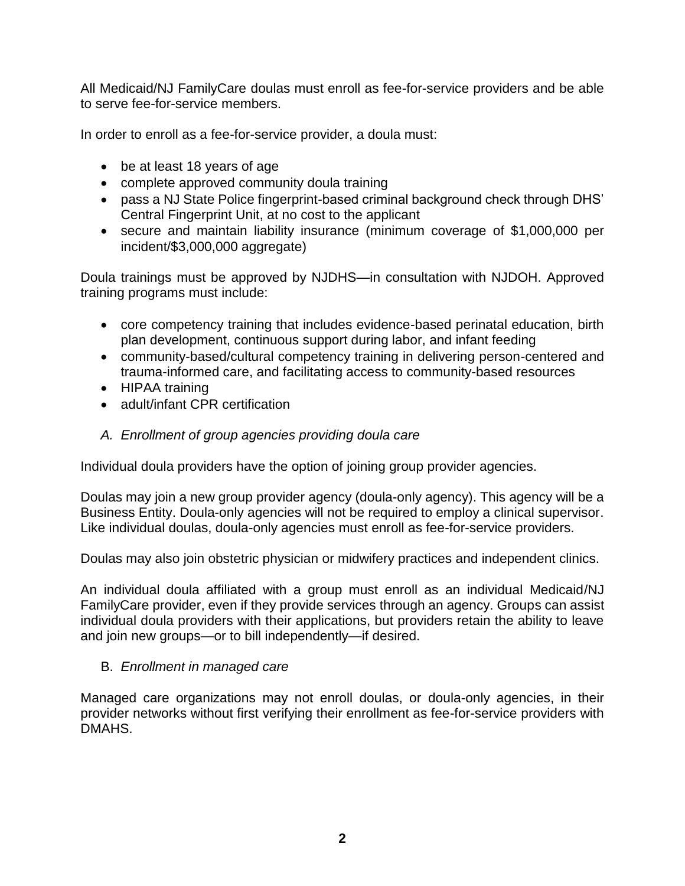All Medicaid/NJ FamilyCare doulas must enroll as fee-for-service providers and be able to serve fee-for-service members.

In order to enroll as a fee-for-service provider, a doula must:

- be at least 18 years of age
- complete approved community doula training
- pass a NJ State Police fingerprint-based criminal background check through DHS' Central Fingerprint Unit, at no cost to the applicant
- secure and maintain liability insurance (minimum coverage of \$1,000,000 per incident/\$3,000,000 aggregate)

Doula trainings must be approved by NJDHS—in consultation with NJDOH. Approved training programs must include:

- core competency training that includes evidence-based perinatal education, birth plan development, continuous support during labor, and infant feeding
- community-based/cultural competency training in delivering person-centered and trauma-informed care, and facilitating access to community-based resources
- HIPAA training
- adult/infant CPR certification
- *A. Enrollment of group agencies providing doula care*

Individual doula providers have the option of joining group provider agencies.

Doulas may join a new group provider agency (doula-only agency). This agency will be a Business Entity. Doula-only agencies will not be required to employ a clinical supervisor. Like individual doulas, doula-only agencies must enroll as fee-for-service providers.

Doulas may also join obstetric physician or midwifery practices and independent clinics.

An individual doula affiliated with a group must enroll as an individual Medicaid/NJ FamilyCare provider, even if they provide services through an agency. Groups can assist individual doula providers with their applications, but providers retain the ability to leave and join new groups—or to bill independently—if desired.

# B. *Enrollment in managed care*

Managed care organizations may not enroll doulas, or doula-only agencies, in their provider networks without first verifying their enrollment as fee-for-service providers with DMAHS.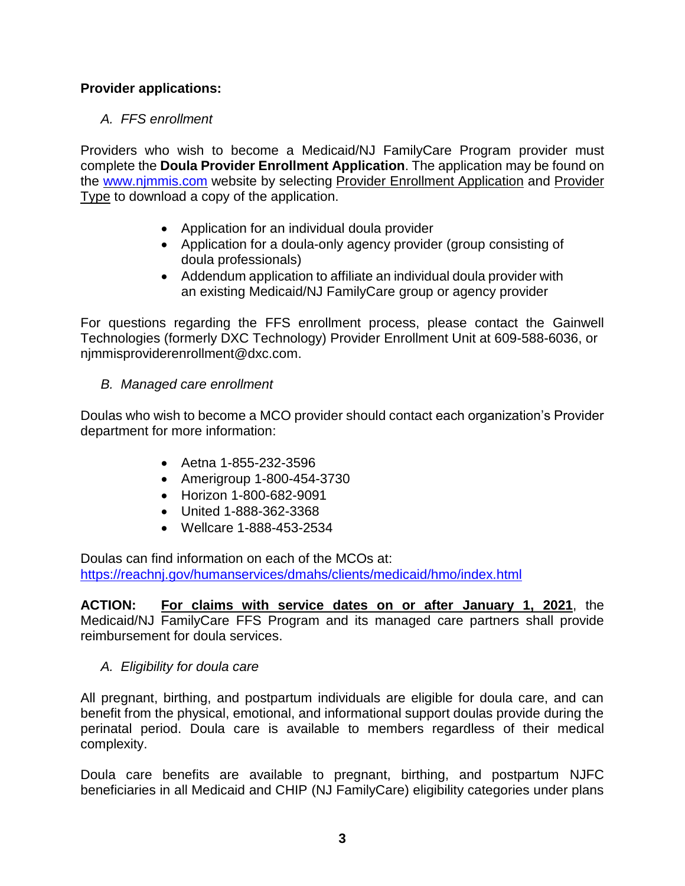# **Provider applications:**

# *A. FFS enrollment*

Providers who wish to become a Medicaid/NJ FamilyCare Program provider must complete the **Doula Provider Enrollment Application**. The application may be found on the [www.njmmis.com](http://www.njmmis.com/) website by selecting Provider Enrollment Application and Provider Type to download a copy of the application.

- Application for an individual doula provider
- Application for a doula-only agency provider (group consisting of doula professionals)
- Addendum application to affiliate an individual doula provider with an existing Medicaid/NJ FamilyCare group or agency provider

For questions regarding the FFS enrollment process, please contact the Gainwell Technologies (formerly DXC Technology) Provider Enrollment Unit at 609-588-6036, or njmmisproviderenrollment@dxc.com.

# *B. Managed care enrollment*

Doulas who wish to become a MCO provider should contact each organization's Provider department for more information:

- Aetna 1-855-232-3596
- Amerigroup 1-800-454-3730
- Horizon 1-800-682-9091
- United 1-888-362-3368
- Wellcare 1-888-453-2534

Doulas can find information on each of the MCOs at: <https://reachnj.gov/humanservices/dmahs/clients/medicaid/hmo/index.html>

**ACTION: For claims with service dates on or after January 1, 2021**, the Medicaid/NJ FamilyCare FFS Program and its managed care partners shall provide reimbursement for doula services.

#### *A. Eligibility for doula care*

All pregnant, birthing, and postpartum individuals are eligible for doula care, and can benefit from the physical, emotional, and informational support doulas provide during the perinatal period. Doula care is available to members regardless of their medical complexity.

Doula care benefits are available to pregnant, birthing, and postpartum NJFC beneficiaries in all Medicaid and CHIP (NJ FamilyCare) eligibility categories under plans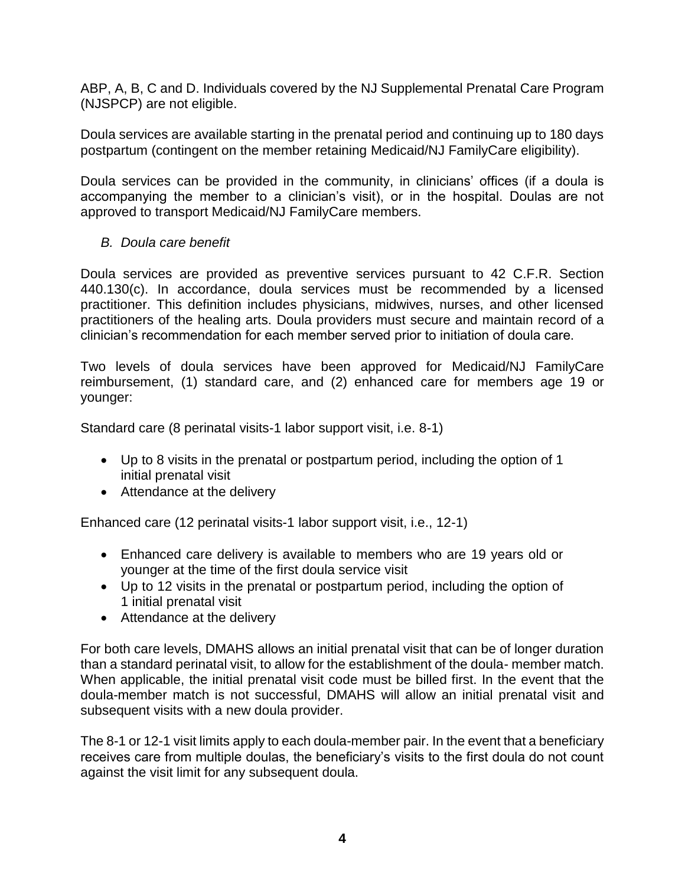ABP, A, B, C and D. Individuals covered by the NJ Supplemental Prenatal Care Program (NJSPCP) are not eligible.

Doula services are available starting in the prenatal period and continuing up to 180 days postpartum (contingent on the member retaining Medicaid/NJ FamilyCare eligibility).

Doula services can be provided in the community, in clinicians' offices (if a doula is accompanying the member to a clinician's visit), or in the hospital. Doulas are not approved to transport Medicaid/NJ FamilyCare members.

*B. Doula care benefit*

Doula services are provided as preventive services pursuant to 42 C.F.R. Section 440.130(c). In accordance, doula services must be recommended by a licensed practitioner. This definition includes physicians, midwives, nurses, and other licensed practitioners of the healing arts. Doula providers must secure and maintain record of a clinician's recommendation for each member served prior to initiation of doula care.

Two levels of doula services have been approved for Medicaid/NJ FamilyCare reimbursement, (1) standard care, and (2) enhanced care for members age 19 or younger:

Standard care (8 perinatal visits-1 labor support visit, i.e. 8-1)

- Up to 8 visits in the prenatal or postpartum period, including the option of 1 initial prenatal visit
- Attendance at the delivery

Enhanced care (12 perinatal visits-1 labor support visit, i.e., 12-1)

- Enhanced care delivery is available to members who are 19 years old or younger at the time of the first doula service visit
- Up to 12 visits in the prenatal or postpartum period, including the option of 1 initial prenatal visit
- Attendance at the delivery

For both care levels, DMAHS allows an initial prenatal visit that can be of longer duration than a standard perinatal visit, to allow for the establishment of the doula- member match. When applicable, the initial prenatal visit code must be billed first. In the event that the doula-member match is not successful, DMAHS will allow an initial prenatal visit and subsequent visits with a new doula provider.

The 8-1 or 12-1 visit limits apply to each doula-member pair. In the event that a beneficiary receives care from multiple doulas, the beneficiary's visits to the first doula do not count against the visit limit for any subsequent doula.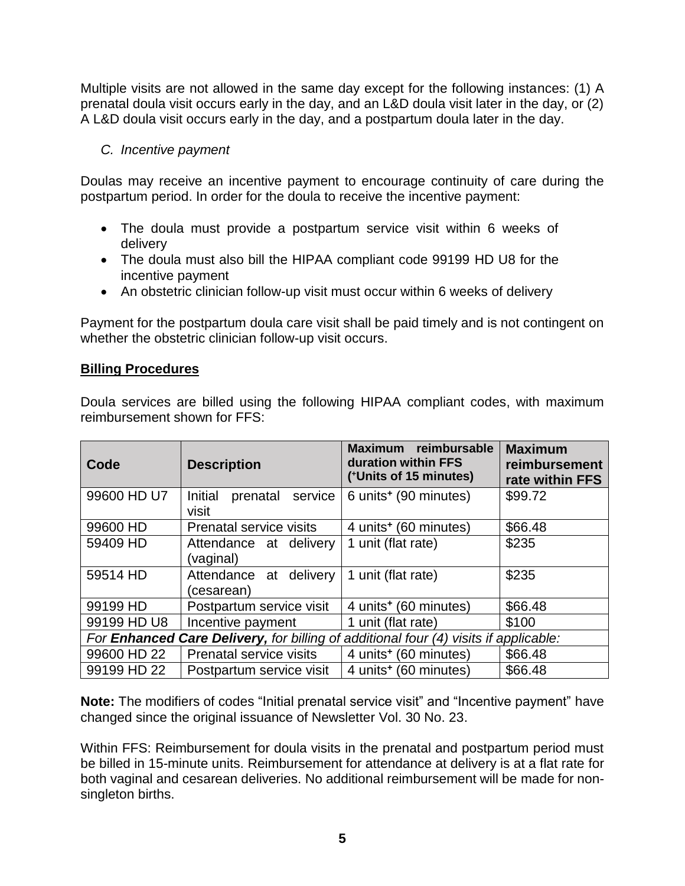Multiple visits are not allowed in the same day except for the following instances: (1) A prenatal doula visit occurs early in the day, and an L&D doula visit later in the day, or (2) A L&D doula visit occurs early in the day, and a postpartum doula later in the day.

# *C. Incentive payment*

Doulas may receive an incentive payment to encourage continuity of care during the postpartum period. In order for the doula to receive the incentive payment:

- The doula must provide a postpartum service visit within 6 weeks of delivery
- The doula must also bill the HIPAA compliant code 99199 HD U8 for the incentive payment
- An obstetric clinician follow-up visit must occur within 6 weeks of delivery

Payment for the postpartum doula care visit shall be paid timely and is not contingent on whether the obstetric clinician follow-up visit occurs.

#### **Billing Procedures**

Doula services are billed using the following HIPAA compliant codes, with maximum reimbursement shown for FFS:

| Code                                                                                        | <b>Description</b>                      | Maximum reimbursable<br>duration within FFS<br>(*Units of 15 minutes) | <b>Maximum</b><br>reimbursement<br>rate within FFS |
|---------------------------------------------------------------------------------------------|-----------------------------------------|-----------------------------------------------------------------------|----------------------------------------------------|
| 99600 HD U7                                                                                 | Initial<br>prenatal<br>service<br>visit | 6 units <sup>+</sup> (90 minutes)                                     | \$99.72                                            |
| 99600 HD                                                                                    | Prenatal service visits                 | 4 units <sup>+</sup> (60 minutes)                                     | \$66.48                                            |
| 59409 HD                                                                                    | Attendance at delivery<br>(vaginal)     | 1 unit (flat rate)                                                    | \$235                                              |
| 59514 HD                                                                                    | Attendance at delivery<br>(cesarean)    | 1 unit (flat rate)                                                    | \$235                                              |
| 99199 HD                                                                                    | Postpartum service visit                | 4 units <sup>+</sup> (60 minutes)                                     | \$66.48                                            |
| 99199 HD U8                                                                                 | Incentive payment                       | 1 unit (flat rate)                                                    | \$100                                              |
| For <b>Enhanced Care Delivery,</b> for billing of additional four (4) visits if applicable: |                                         |                                                                       |                                                    |
| 99600 HD 22                                                                                 | Prenatal service visits                 | 4 units <sup>+</sup> (60 minutes)                                     | \$66.48                                            |
| 99199 HD 22                                                                                 | Postpartum service visit                | 4 units <sup>+</sup> (60 minutes)                                     | \$66.48                                            |

**Note:** The modifiers of codes "Initial prenatal service visit" and "Incentive payment" have changed since the original issuance of Newsletter Vol. 30 No. 23.

Within FFS: Reimbursement for doula visits in the prenatal and postpartum period must be billed in 15-minute units. Reimbursement for attendance at delivery is at a flat rate for both vaginal and cesarean deliveries. No additional reimbursement will be made for nonsingleton births.